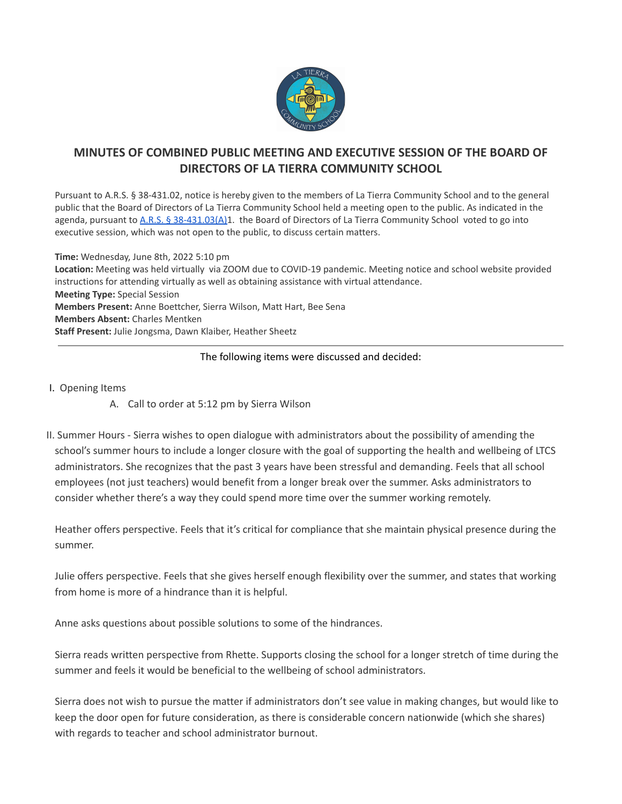

## **MINUTES OF COMBINED PUBLIC MEETING AND EXECUTIVE SESSION OF THE BOARD OF DIRECTORS OF LA TIERRA COMMUNITY SCHOOL**

Pursuant to A.R.S. § 38-431.02, notice is hereby given to the members of La Tierra Community School and to the general public that the Board of Directors of La Tierra Community School held a meeting open to the public. As indicated in the agenda, pursuant to A.R.S. § [38-431.03\(A\)1](https://www.azleg.gov/ars/38/00431-03.htm). the Board of Directors of La Tierra Community School voted to go into executive session, which was not open to the public, to discuss certain matters.

**Time:** Wednesday, June 8th, 2022 5:10 pm **Location:** Meeting was held virtually via ZOOM due to COVID-19 pandemic. Meeting notice and school website provided instructions for attending virtually as well as obtaining assistance with virtual attendance. **Meeting Type:** Special Session **Members Present:** Anne Boettcher, Sierra Wilson, Matt Hart, Bee Sena **Members Absent:** Charles Mentken **Staff Present:** Julie Jongsma, Dawn Klaiber, Heather Sheetz

## The following items were discussed and decided:

- I. Opening Items
	- A. Call to order at 5:12 pm by Sierra Wilson
- II. Summer Hours Sierra wishes to open dialogue with administrators about the possibility of amending the school's summer hours to include a longer closure with the goal of supporting the health and wellbeing of LTCS administrators. She recognizes that the past 3 years have been stressful and demanding. Feels that all school employees (not just teachers) would benefit from a longer break over the summer. Asks administrators to consider whether there's a way they could spend more time over the summer working remotely.

Heather offers perspective. Feels that it's critical for compliance that she maintain physical presence during the summer.

Julie offers perspective. Feels that she gives herself enough flexibility over the summer, and states that working from home is more of a hindrance than it is helpful.

Anne asks questions about possible solutions to some of the hindrances.

Sierra reads written perspective from Rhette. Supports closing the school for a longer stretch of time during the summer and feels it would be beneficial to the wellbeing of school administrators.

Sierra does not wish to pursue the matter if administrators don't see value in making changes, but would like to keep the door open for future consideration, as there is considerable concern nationwide (which she shares) with regards to teacher and school administrator burnout.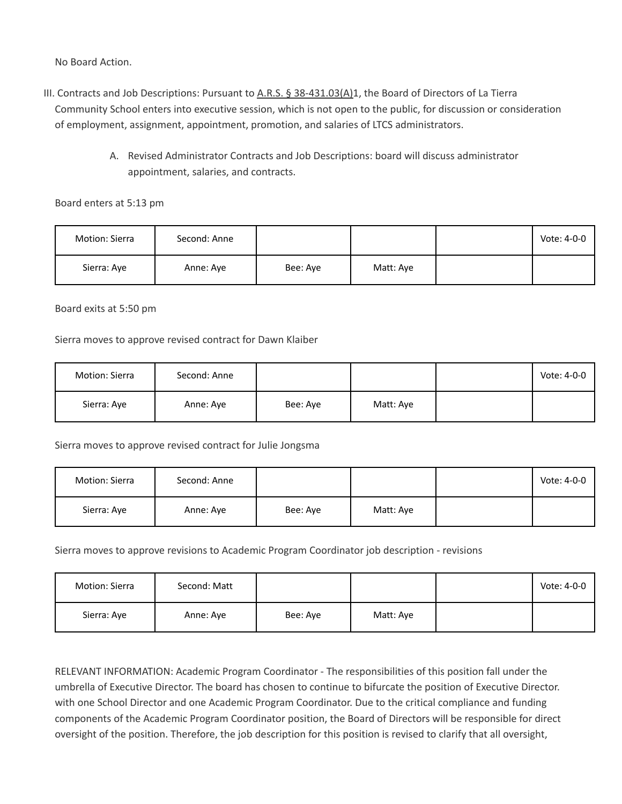No Board Action.

- III. Contracts and Job Descriptions: Pursuant to A.R.S. § [38-431.03\(A\)1](https://www.azleg.gov/ars/38/00431-03.htm), the Board of Directors of La Tierra Community School enters into executive session, which is not open to the public, for discussion or consideration of employment, assignment, appointment, promotion, and salaries of LTCS administrators.
	- A. Revised Administrator Contracts and Job Descriptions: board will discuss administrator appointment, salaries, and contracts.

Board enters at 5:13 pm

| Motion: Sierra | Second: Anne |          |           | Vote: 4-0-0 |
|----------------|--------------|----------|-----------|-------------|
| Sierra: Aye    | Anne: Aye    | Bee: Aye | Matt: Aye |             |

Board exits at 5:50 pm

Sierra moves to approve revised contract for Dawn Klaiber

| Motion: Sierra | Second: Anne |          |           | Vote: 4-0-0 |
|----------------|--------------|----------|-----------|-------------|
| Sierra: Aye    | Anne: Aye    | Bee: Aye | Matt: Aye |             |

## Sierra moves to approve revised contract for Julie Jongsma

| Motion: Sierra | Second: Anne |          |           | Vote: 4-0-0 |
|----------------|--------------|----------|-----------|-------------|
| Sierra: Aye    | Anne: Aye    | Bee: Ave | Matt: Aye |             |

Sierra moves to approve revisions to Academic Program Coordinator job description - revisions

| Motion: Sierra | Second: Matt |          |           | Vote: 4-0-0 |
|----------------|--------------|----------|-----------|-------------|
| Sierra: Aye    | Anne: Aye    | Bee: Aye | Matt: Aye |             |

RELEVANT INFORMATION: Academic Program Coordinator - The responsibilities of this position fall under the umbrella of Executive Director. The board has chosen to continue to bifurcate the position of Executive Director. with one School Director and one Academic Program Coordinator. Due to the critical compliance and funding components of the Academic Program Coordinator position, the Board of Directors will be responsible for direct oversight of the position. Therefore, the job description for this position is revised to clarify that all oversight,